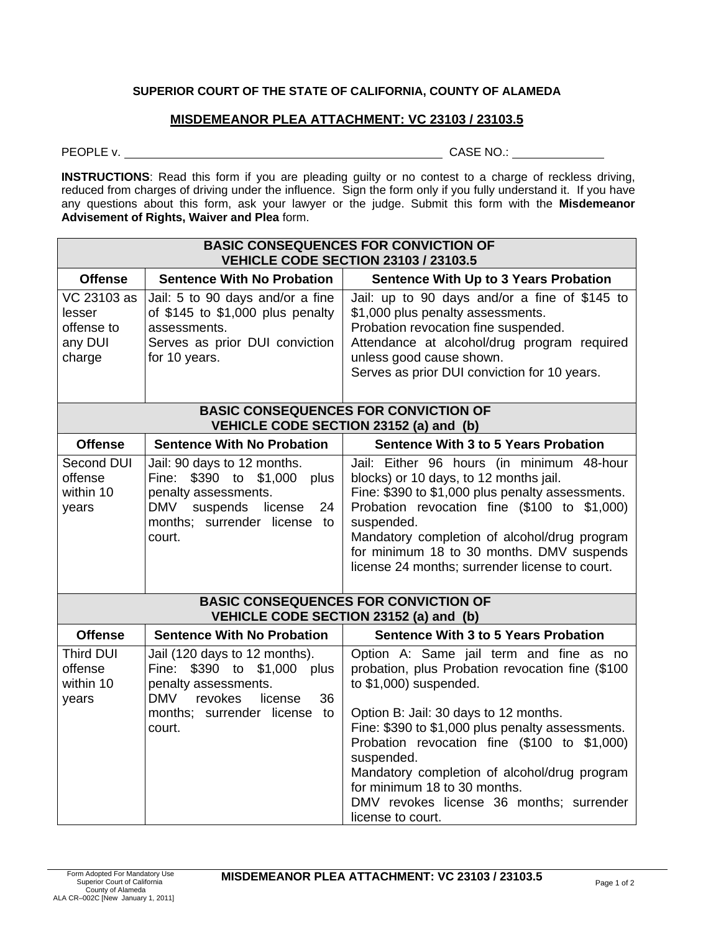## **SUPERIOR COURT OF THE STATE OF CALIFORNIA, COUNTY OF ALAMEDA**

## **MISDEMEANOR PLEA ATTACHMENT: VC 23103 / 23103.5**

PEOPLE v. CASE NO.:

**INSTRUCTIONS**: Read this form if you are pleading guilty or no contest to a charge of reckless driving, reduced from charges of driving under the influence. Sign the form only if you fully understand it. If you have any questions about this form, ask your lawyer or the judge. Submit this form with the **Misdemeanor Advisement of Rights, Waiver and Plea** form.

| <b>BASIC CONSEQUENCES FOR CONVICTION OF</b><br><b>VEHICLE CODE SECTION 23103 / 23103.5</b> |                                                                                                                                                                          |                                                                                                                                                                                                                                                                                                                                                                                                                                     |  |  |
|--------------------------------------------------------------------------------------------|--------------------------------------------------------------------------------------------------------------------------------------------------------------------------|-------------------------------------------------------------------------------------------------------------------------------------------------------------------------------------------------------------------------------------------------------------------------------------------------------------------------------------------------------------------------------------------------------------------------------------|--|--|
| <b>Offense</b>                                                                             | <b>Sentence With No Probation</b>                                                                                                                                        | <b>Sentence With Up to 3 Years Probation</b>                                                                                                                                                                                                                                                                                                                                                                                        |  |  |
| $\overline{\text{VC}}$ 23103 as<br>lesser<br>offense to<br>any DUI<br>charge               | Jail: 5 to 90 days and/or a fine<br>of \$145 to \$1,000 plus penalty<br>assessments.<br>Serves as prior DUI conviction<br>for 10 years.                                  | Jail: up to 90 days and/or a fine of \$145 to<br>\$1,000 plus penalty assessments.<br>Probation revocation fine suspended.<br>Attendance at alcohol/drug program required<br>unless good cause shown.<br>Serves as prior DUI conviction for 10 years.                                                                                                                                                                               |  |  |
| <b>BASIC CONSEQUENCES FOR CONVICTION OF</b><br>VEHICLE CODE SECTION 23152 (a) and (b)      |                                                                                                                                                                          |                                                                                                                                                                                                                                                                                                                                                                                                                                     |  |  |
| <b>Offense</b>                                                                             | <b>Sentence With No Probation</b>                                                                                                                                        | <b>Sentence With 3 to 5 Years Probation</b>                                                                                                                                                                                                                                                                                                                                                                                         |  |  |
| Second DUI<br>offense<br>within 10<br>years                                                | Jail: 90 days to 12 months.<br>Fine: \$390 to \$1,000<br>plus<br>penalty assessments.<br>suspends<br>license<br>DMV<br>24<br>months; surrender license to<br>court.      | Jail: Either 96 hours (in minimum 48-hour<br>blocks) or 10 days, to 12 months jail.<br>Fine: \$390 to \$1,000 plus penalty assessments.<br>Probation revocation fine (\$100 to \$1,000)<br>suspended.<br>Mandatory completion of alcohol/drug program<br>for minimum 18 to 30 months. DMV suspends<br>license 24 months; surrender license to court.                                                                                |  |  |
| <b>BASIC CONSEQUENCES FOR CONVICTION OF</b><br>VEHICLE CODE SECTION 23152 (a) and (b)      |                                                                                                                                                                          |                                                                                                                                                                                                                                                                                                                                                                                                                                     |  |  |
| <b>Offense</b>                                                                             | <b>Sentence With No Probation</b>                                                                                                                                        | <b>Sentence With 3 to 5 Years Probation</b>                                                                                                                                                                                                                                                                                                                                                                                         |  |  |
| <b>Third DUI</b><br>offense<br>within 10<br>years                                          | Jail (120 days to 12 months).<br>Fine: \$390 to \$1,000 plus<br>penalty assessments.<br><b>DMV</b><br>36<br>revokes<br>license<br>months; surrender license to<br>court. | Option A: Same jail term and fine as no<br>probation, plus Probation revocation fine (\$100<br>to $$1,000$ ) suspended.<br>Option B: Jail: 30 days to 12 months.<br>Fine: \$390 to \$1,000 plus penalty assessments.<br>Probation revocation fine (\$100 to \$1,000)<br>suspended.<br>Mandatory completion of alcohol/drug program<br>for minimum 18 to 30 months.<br>DMV revokes license 36 months; surrender<br>license to court. |  |  |